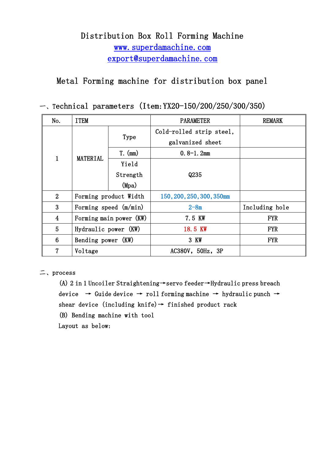# Distribution Box Roll Forming Machine www.superdamachine.com export@superdamachine.com

Metal Forming machine for distribution box panel

一、Technical parameters (Item:YX20-150/200/250/300/350)

| No.             | <b>ITEM</b>             |           | <b>PARAMETER</b>          | <b>REMARK</b>  |
|-----------------|-------------------------|-----------|---------------------------|----------------|
| $\mathbf 1$     | <b>MATERIAL</b>         | Type      | Cold-rolled strip steel,  |                |
|                 |                         |           | galvanized sheet          |                |
|                 |                         | $T.$ (mm) | $0.8 - 1.2$ mm            |                |
|                 |                         | Yield     |                           |                |
|                 |                         | Strength  | Q235                      |                |
|                 |                         | (Mpa)     |                           |                |
| $\overline{2}$  | Forming product Width   |           | 150, 200, 250, 300, 350mm |                |
| 3               | Forming speed $(m/min)$ |           | $2 - 8m$                  | Including hole |
| $\overline{4}$  | Forming main power (KW) |           | 7.5 KW                    | <b>FYR</b>     |
| 5               | Hydraulic power (KW)    |           | 18.5 KW                   | <b>FYR</b>     |
| $6\phantom{1}6$ | Bending power (KW)      |           | 3 KW                      | <b>FYR</b>     |
| 7               | Voltage                 |           | AC380V, 50Hz, 3P          |                |

二、process

(A) 2 in 1 Uncoiler Straightening→servo feeder→Hydraulic press breach device → Guide device → roll forming machine → hydraulic punch → shear device (including knife)  $\rightarrow$  finished product rack

(B) Bending machine with tool

Layout as below: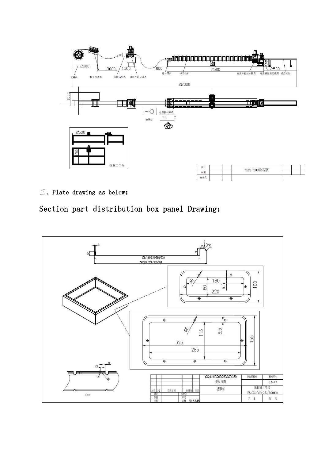

## 三、Plate drawing as below:

Section part distribution box panel Drawing:

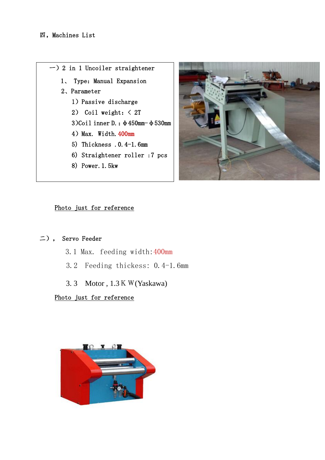



#### Photo just for reference

#### 二), Servo Feeder

- 3.1 Max. feeding width:400mm
- 3.2 Feeding thickess: 0.4-1.6mm
- 3. 3 Motor , 1.3KW(Yaskawa)

#### Photo just for reference

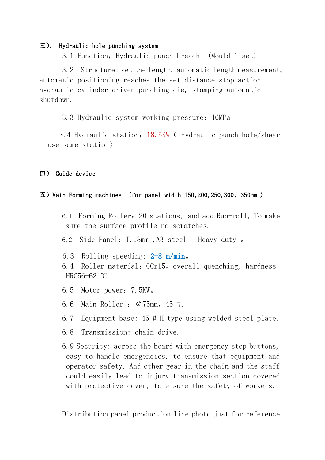#### 三), Hydraulic hole punching system

3.1 Function:Hydraulic punch breach (Mould 1 set)

3.2 Structure: set the length, automatic length measurement, automatic positioning reaches the set distance stop action , hydraulic cylinder driven punching die, stamping automatic shutdown.

3.3 Hydraulic system working pressure:16MPa

3.4 Hydraulic station:18.5KW( Hydraulic punch hole/shear use same station)

## 四) Guide device

## $\overline{\text{1}}$ ) Main Forming machines (for panel width 150,200,250,300, 350mm)

- 6.1 Forming Roller:20 stations,and add Rub-roll, To make sure the surface profile no scratches.
- 6.2 Side Panel:T.18mm ,A3 steel Heavy duty 。
- 6.3 Rolling speeding: 2-8 m/min。
- 6.4 Roller material:GCr15,overall quenching, hardness HRC56-62 ℃.
- 6.5 Motor power:7.5KW。
- 6.6 Main Roller :  $\mathcal{C}75$ mm, 45 #.
- 6.7 Equipment base: 45 # H type using welded steel plate.
- 6.8 Transmission: chain drive.
- 6.9 Security: across the board with emergency stop buttons, easy to handle emergencies, to ensure that equipment and operator safety. And other gear in the chain and the staff could easily lead to injury transmission section covered with protective cover, to ensure the safety of workers.

Distribution panel production line photo just for reference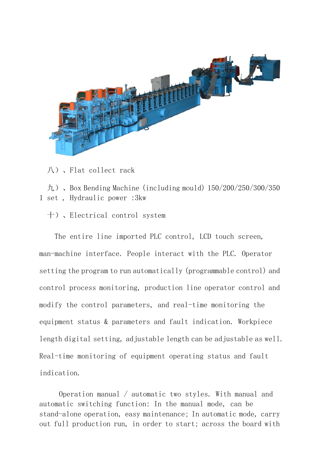

八)、Flat collect rack

九)、Box Bending Machine (including mould) 150/200/250/300/350 1 set , Hydraulic power :3kw

十)、Electrical control system

The entire line imported PLC control, LCD touch screen, man-machine interface. People interact with the PLC. Operator setting the program to run automatically (programmable control) and control process monitoring, production line operator control and modify the control parameters, and real-time monitoring the equipment status & parameters and fault indication. Workpiece length digital setting, adjustable length can be adjustable as well. Real-time monitoring of equipment operating status and fault indication.

Operation manual / automatic two styles. With manual and automatic switching function: In the manual mode, can be stand-alone operation, easy maintenance; In automatic mode, carry out full production run, in order to start; across the board with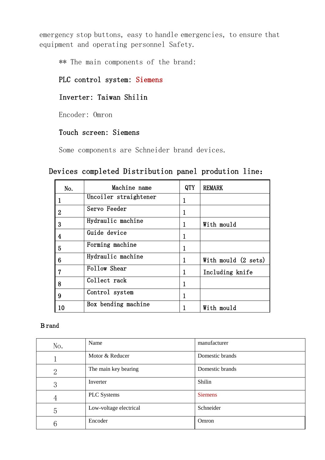emergency stop buttons, easy to handle emergencies, to ensure that equipment and operating personnel Safety.

\*\* The main components of the brand:

# PLC control system: Siemens

## Inverter: Taiwan Shilin

Encoder: Omron

## Touch screen: Siemens

Some components are Schneider brand devices.

## Devices completed Distribution panel prodution line:

| No.            | Machine name          | QTY | <b>REMARK</b>       |
|----------------|-----------------------|-----|---------------------|
|                | Uncoiler straightener | 1   |                     |
| $\overline{2}$ | Servo Feeder          | 1   |                     |
| 3              | Hydraulic machine     | 1   | With mould          |
| $\overline{4}$ | Guide device          | 1   |                     |
| 5              | Forming machine       |     |                     |
| 6              | Hydraulic machine     | 1   | With mould (2 sets) |
| 7              | Follow Shear          | 1   | Including knife     |
| 8              | Collect rack          |     |                     |
| 9              | Control system        | 1   |                     |
| 10             | Box bending machine   |     | With mould          |

#### Brand

| No. | Name                   | manufacturer    |
|-----|------------------------|-----------------|
|     | Motor & Reducer        | Domestic brands |
| 2   | The main key bearing   | Domestic brands |
| 3   | Inverter               | Shilin          |
| 4   | PLC Systems            | <b>Siemens</b>  |
| 5   | Low-voltage electrical | Schneider       |
| 6   | Encoder                | Omron           |